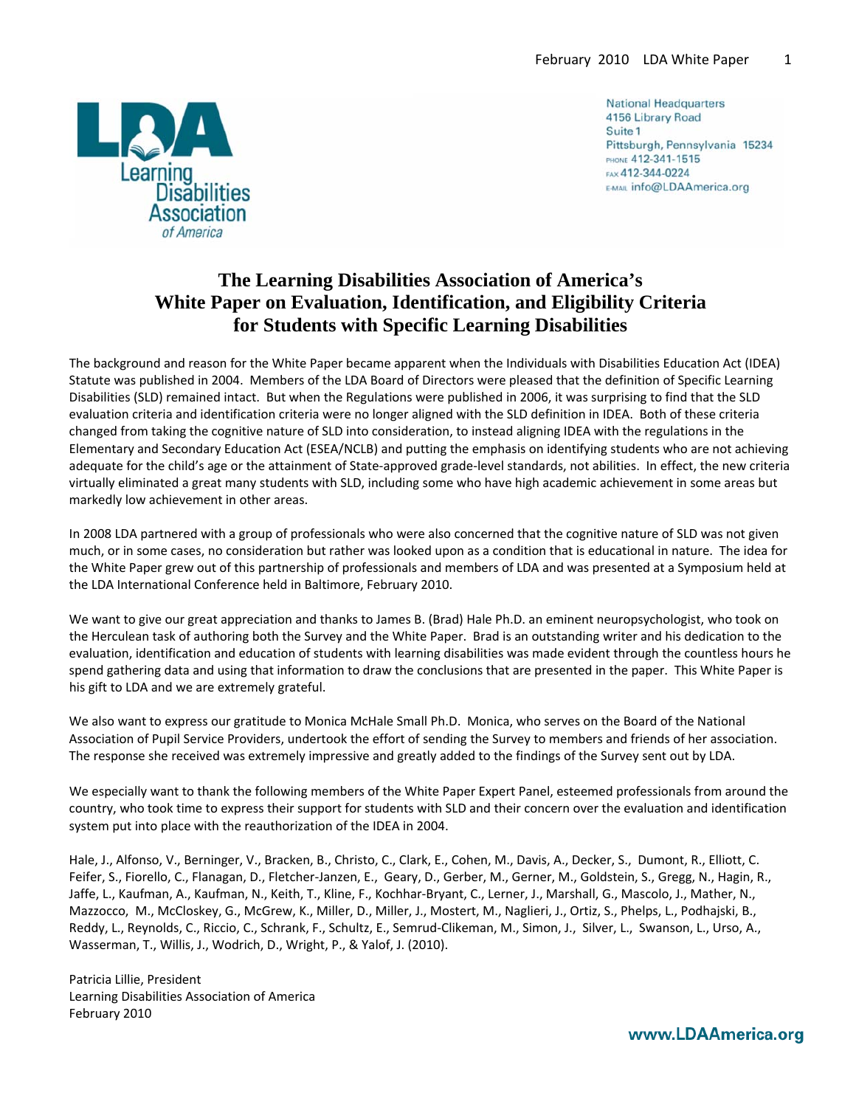

**National Headquarters** 4156 Library Road Suite 1 Pittsburgh, Pennsylvania 15234 PHONE 412-341-1515 FAX 412-344-0224 E-MAIL Info@LDAAmerica.org

# **The Learning Disabilities Association of America's White Paper on Evaluation, Identification, and Eligibility Criteria for Students with Specific Learning Disabilities**

The background and reason for the White Paper became apparent when the Individuals with Disabilities Education Act (IDEA) Statute was published in 2004. Members of the LDA Board of Directors were pleased that the definition of Specific Learning Disabilities (SLD) remained intact. But when the Regulations were published in 2006, it was surprising to find that the SLD evaluation criteria and identification criteria were no longer aligned with the SLD definition in IDEA. Both of these criteria changed from taking the cognitive nature of SLD into consideration, to instead aligning IDEA with the regulations in the Elementary and Secondary Education Act (ESEA/NCLB) and putting the emphasis on identifying students who are not achieving adequate for the child's age or the attainment of State‐approved grade‐level standards, not abilities. In effect, the new criteria virtually eliminated a great many students with SLD, including some who have high academic achievement in some areas but markedly low achievement in other areas.

In 2008 LDA partnered with a group of professionals who were also concerned that the cognitive nature of SLD was not given much, or in some cases, no consideration but rather was looked upon as a condition that is educational in nature. The idea for the White Paper grew out of this partnership of professionals and members of LDA and was presented at a Symposium held at the LDA International Conference held in Baltimore, February 2010.

We want to give our great appreciation and thanks to James B. (Brad) Hale Ph.D. an eminent neuropsychologist, who took on the Herculean task of authoring both the Survey and the White Paper. Brad is an outstanding writer and his dedication to the evaluation, identification and education of students with learning disabilities was made evident through the countless hours he spend gathering data and using that information to draw the conclusions that are presented in the paper. This White Paper is his gift to LDA and we are extremely grateful.

We also want to express our gratitude to Monica McHale Small Ph.D. Monica, who serves on the Board of the National Association of Pupil Service Providers, undertook the effort of sending the Survey to members and friends of her association. The response she received was extremely impressive and greatly added to the findings of the Survey sent out by LDA.

We especially want to thank the following members of the White Paper Expert Panel, esteemed professionals from around the country, who took time to express their support for students with SLD and their concern over the evaluation and identification system put into place with the reauthorization of the IDEA in 2004.

Hale, J., Alfonso, V., Berninger, V., Bracken, B., Christo, C., Clark, E., Cohen, M., Davis, A., Decker, S., Dumont, R., Elliott, C. Feifer, S., Fiorello, C., Flanagan, D., Fletcher‐Janzen, E., Geary, D., Gerber, M., Gerner, M., Goldstein, S., Gregg, N., Hagin, R., Jaffe, L., Kaufman, A., Kaufman, N., Keith, T., Kline, F., Kochhar‐Bryant, C., Lerner, J., Marshall, G., Mascolo, J., Mather, N., Mazzocco, M., McCloskey, G., McGrew, K., Miller, D., Miller, J., Mostert, M., Naglieri, J., Ortiz, S., Phelps, L., Podhajski, B., Reddy, L., Reynolds, C., Riccio, C., Schrank, F., Schultz, E., Semrud‐Clikeman, M., Simon, J., Silver, L., Swanson, L., Urso, A., Wasserman, T., Willis, J., Wodrich, D., Wright, P., & Yalof, J. (2010).

Patricia Lillie, President Learning Disabilities Association of America February 2010

www.LDAAmerica.org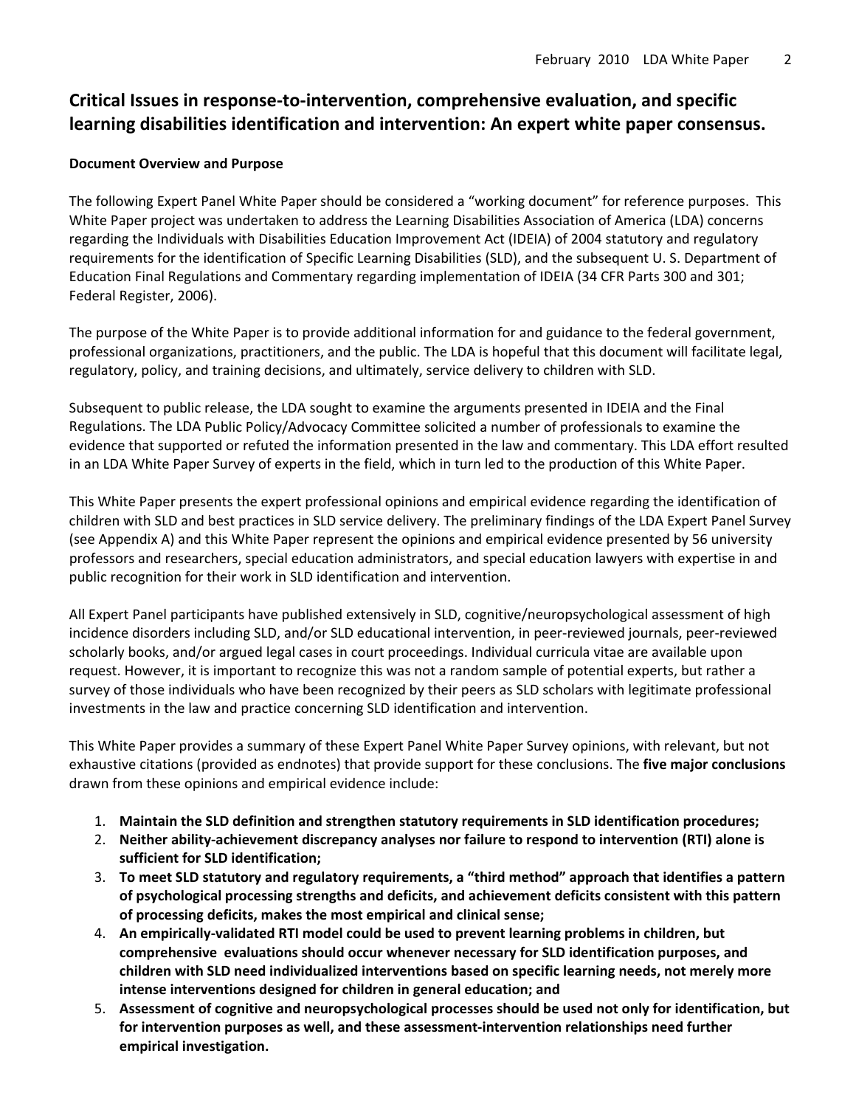## **Critical Issues in response‐to‐intervention, comprehensive evaluation, and specific learning disabilities identification and intervention: An expert white paper consensus.**

### **Document Overview and Purpose**

The following Expert Panel White Paper should be considered a "working document" for reference purposes. This White Paper project was undertaken to address the Learning Disabilities Association of America (LDA) concerns regarding the Individuals with Disabilities Education Improvement Act (IDEIA) of 2004 statutory and regulatory requirements for the identification of Specific Learning Disabilities (SLD), and the subsequent U. S. Department of Education Final Regulations and Commentary regarding implementation of IDEIA (34 CFR Parts 300 and 301; Federal Register, 2006).

The purpose of the White Paper is to provide additional information for and guidance to the federal government, professional organizations, practitioners, and the public. The LDA is hopeful that this document will facilitate legal, regulatory, policy, and training decisions, and ultimately, service delivery to children with SLD.

Subsequent to public release, the LDA sought to examine the arguments presented in IDEIA and the Final Regulations. The LDA Public Policy/Advocacy Committee solicited a number of professionals to examine the evidence that supported or refuted the information presented in the law and commentary. This LDA effort resulted in an LDA White Paper Survey of experts in the field, which in turn led to the production of this White Paper.

This White Paper presents the expert professional opinions and empirical evidence regarding the identification of children with SLD and best practices in SLD service delivery. The preliminary findings of the LDA Expert Panel Survey (see Appendix A) and this White Paper represent the opinions and empirical evidence presented by 56 university professors and researchers, special education administrators, and special education lawyers with expertise in and public recognition for their work in SLD identification and intervention.

All Expert Panel participants have published extensively in SLD, cognitive/neuropsychological assessment of high incidence disorders including SLD, and/or SLD educational intervention, in peer‐reviewed journals, peer‐reviewed scholarly books, and/or argued legal cases in court proceedings. Individual curricula vitae are available upon request. However, it is important to recognize this was not a random sample of potential experts, but rather a survey of those individuals who have been recognized by their peers as SLD scholars with legitimate professional investments in the law and practice concerning SLD identification and intervention.

This White Paper provides a summary of these Expert Panel White Paper Survey opinions, with relevant, but not exhaustive citations (provided as endnotes) that provide support for these conclusions. The **five major conclusions** drawn from these opinions and empirical evidence include:

- 1. **Maintain the SLD definition and strengthen statutory requirements in SLD identification procedures;**
- 2. **Neither ability‐achievement discrepancy analyses nor failure to respond to intervention (RTI) alone is sufficient for SLD identification;**
- 3. **To meet SLD statutory and regulatory requirements, a "third method" approach that identifies a pattern of psychological processing strengths and deficits, and achievement deficits consistent with this pattern of processing deficits, makes the most empirical and clinical sense;**
- 4. **An empirically‐validated RTI model could be used to prevent learning problems in children, but comprehensive evaluations should occur whenever necessary for SLD identification purposes, and children with SLD need individualized interventions based on specific learning needs, not merely more intense interventions designed for children in general education; and**
- 5. **Assessment of cognitive and neuropsychological processes should be used not only for identification, but for intervention purposes as well, and these assessment‐intervention relationships need further empirical investigation.**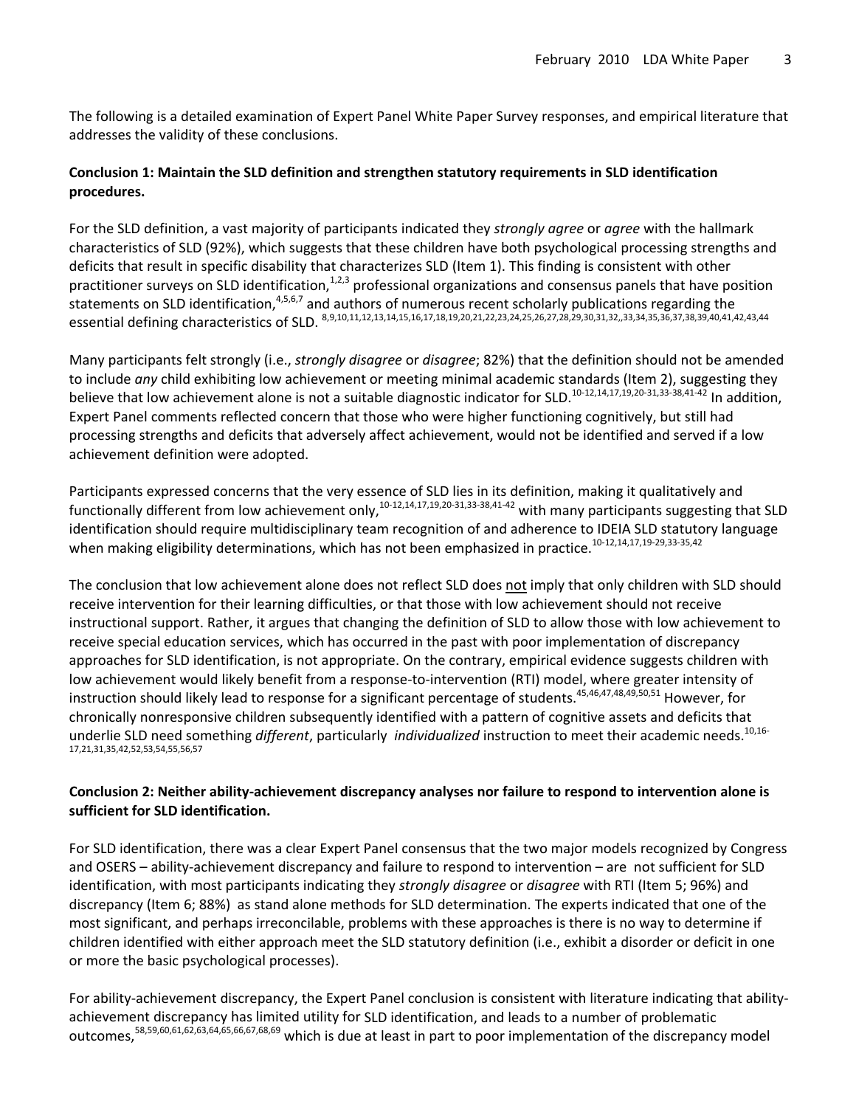The following is a detailed examination of Expert Panel White Paper Survey responses, and empirical literature that addresses the validity of these conclusions.

### **Conclusion 1: Maintain the SLD definition and strengthen statutory requirements in SLD identification procedures.**

For the SLD definition, a vast majority of participants indicated they *strongly agree* or *agree* with the hallmark characteristics of SLD (92%), which suggests that these children have both psychological processing strengths and deficits that result in specific disability that characterizes SLD (Item 1). This finding is consistent with other practitioner surveys on SLD identification,<sup>1,2,3</sup> professional organizations and consensus panels that have position statements on SLD identification,<sup>4,5,6,7</sup> and authors of numerous recent scholarly publications regarding the essential defining characteristics of SLD. 8,9,10,11,12,13,14,15,16,17,18,19,20,21,22,23,24,25,26,27,28,29,30,31,32,,33,34,35,36,37,38,39,40,41,42,43,44

Many participants felt strongly (i.e., *strongly disagree* or *disagree*; 82%) that the definition should not be amended to include *any* child exhibiting low achievement or meeting minimal academic standards (Item 2), suggesting they believe that low achievement alone is not a suitable diagnostic indicator for SLD.<sup>10-12,14,17,19,20-31,33-38,41-42</sup> In addition, Expert Panel comments reflected concern that those who were higher functioning cognitively, but still had processing strengths and deficits that adversely affect achievement, would not be identified and served if a low achievement definition were adopted.

Participants expressed concerns that the very essence of SLD lies in its definition, making it qualitatively and functionally different from low achievement only,<sup>10-12,14,17,19,20-31,33-38,41-42</sup> with many participants suggesting that SLD identification should require multidisciplinary team recognition of and adherence to IDEIA SLD statutory language when making eligibility determinations, which has not been emphasized in practice.<sup>10-12,14,17,19-29,33-35,42</sup>

The conclusion that low achievement alone does not reflect SLD does not imply that only children with SLD should receive intervention for their learning difficulties, or that those with low achievement should not receive instructional support. Rather, it argues that changing the definition of SLD to allow those with low achievement to receive special education services, which has occurred in the past with poor implementation of discrepancy approaches for SLD identification, is not appropriate. On the contrary, empirical evidence suggests children with low achievement would likely benefit from a response-to-intervention (RTI) model, where greater intensity of instruction should likely lead to response for a significant percentage of students.<sup>45,46,47,48,49,50,51</sup> However, for chronically nonresponsive children subsequently identified with a pattern of cognitive assets and deficits that underlie SLD need something *different*, particularly *individualized* instruction to meet their academic needs.<sup>10,16-</sup> 17,21,31,35,42,52,53,54,55,56,57

#### **Conclusion 2: Neither ability‐achievement discrepancy analyses nor failure to respond to intervention alone is sufficient for SLD identification.**

For SLD identification, there was a clear Expert Panel consensus that the two major models recognized by Congress and OSERS – ability‐achievement discrepancy and failure to respond to intervention – are not sufficient for SLD identification, with most participants indicating they *strongly disagree* or *disagree* with RTI (Item 5; 96%) and discrepancy (Item 6; 88%) as stand alone methods for SLD determination. The experts indicated that one of the most significant, and perhaps irreconcilable, problems with these approaches is there is no way to determine if children identified with either approach meet the SLD statutory definition (i.e., exhibit a disorder or deficit in one or more the basic psychological processes).

For ability-achievement discrepancy, the Expert Panel conclusion is consistent with literature indicating that abilityachievement discrepancy has limited utility for SLD identification, and leads to a number of problematic outcomes,58,59,60,61,62,63,64,65,66,67,68,69 which is due at least in part to poor implementation of the discrepancy model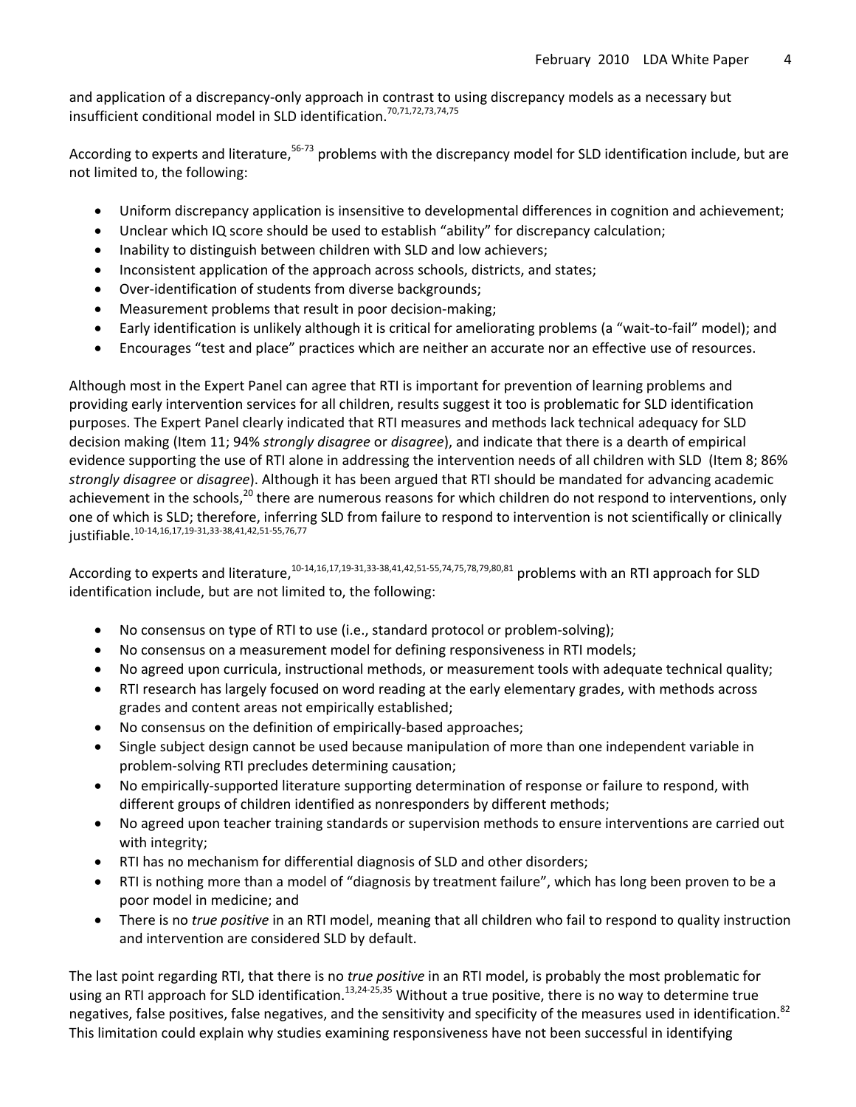and application of a discrepancy-only approach in contrast to using discrepancy models as a necessary but insufficient conditional model in SLD identification.70,71,72,73,74,75

According to experts and literature,<sup>56-73</sup> problems with the discrepancy model for SLD identification include, but are not limited to, the following:

- Uniform discrepancy application is insensitive to developmental differences in cognition and achievement;
- Unclear which IQ score should be used to establish "ability" for discrepancy calculation;
- Inability to distinguish between children with SLD and low achievers;
- Inconsistent application of the approach across schools, districts, and states;
- Over‐identification of students from diverse backgrounds;
- Measurement problems that result in poor decision‐making;
- Early identification is unlikely although it is critical for ameliorating problems (a "wait‐to‐fail" model); and
- Encourages "test and place" practices which are neither an accurate nor an effective use of resources.

Although most in the Expert Panel can agree that RTI is important for prevention of learning problems and providing early intervention services for all children, results suggest it too is problematic for SLD identification purposes. The Expert Panel clearly indicated that RTI measures and methods lack technical adequacy for SLD decision making (Item 11; 94% *strongly disagree* or *disagree*), and indicate that there is a dearth of empirical evidence supporting the use of RTI alone in addressing the intervention needs of all children with SLD (Item 8; 86% *strongly disagree* or *disagree*). Although it has been argued that RTI should be mandated for advancing academic achievement in the schools,<sup>20</sup> there are numerous reasons for which children do not respond to interventions, only one of which is SLD; therefore, inferring SLD from failure to respond to intervention is not scientifically or clinically justifiable.<sup>10</sup>‐14,16,17,19‐31,33‐38,41,42,51‐55,76,77

According to experts and literature,<sup>10-14,16,17,19-31,33-38,41,42,51-55,74,75,78,79,80,81</sup> problems with an RTI approach for SLD identification include, but are not limited to, the following:

- No consensus on type of RTI to use (i.e., standard protocol or problem-solving);
- No consensus on a measurement model for defining responsiveness in RTI models;
- No agreed upon curricula, instructional methods, or measurement tools with adequate technical quality;
- RTI research has largely focused on word reading at the early elementary grades, with methods across grades and content areas not empirically established;
- No consensus on the definition of empirically‐based approaches;
- Single subject design cannot be used because manipulation of more than one independent variable in problem‐solving RTI precludes determining causation;
- No empirically‐supported literature supporting determination of response or failure to respond, with different groups of children identified as nonresponders by different methods;
- No agreed upon teacher training standards or supervision methods to ensure interventions are carried out with integrity;
- RTI has no mechanism for differential diagnosis of SLD and other disorders;
- RTI is nothing more than a model of "diagnosis by treatment failure", which has long been proven to be a poor model in medicine; and
- There is no *true positive* in an RTI model, meaning that all children who fail to respond to quality instruction and intervention are considered SLD by default.

The last point regarding RTI, that there is no *true positive* in an RTI model, is probably the most problematic for using an RTI approach for SLD identification.<sup>13,24-25,35</sup> Without a true positive, there is no way to determine true negatives, false positives, false negatives, and the sensitivity and specificity of the measures used in identification.<sup>82</sup> This limitation could explain why studies examining responsiveness have not been successful in identifying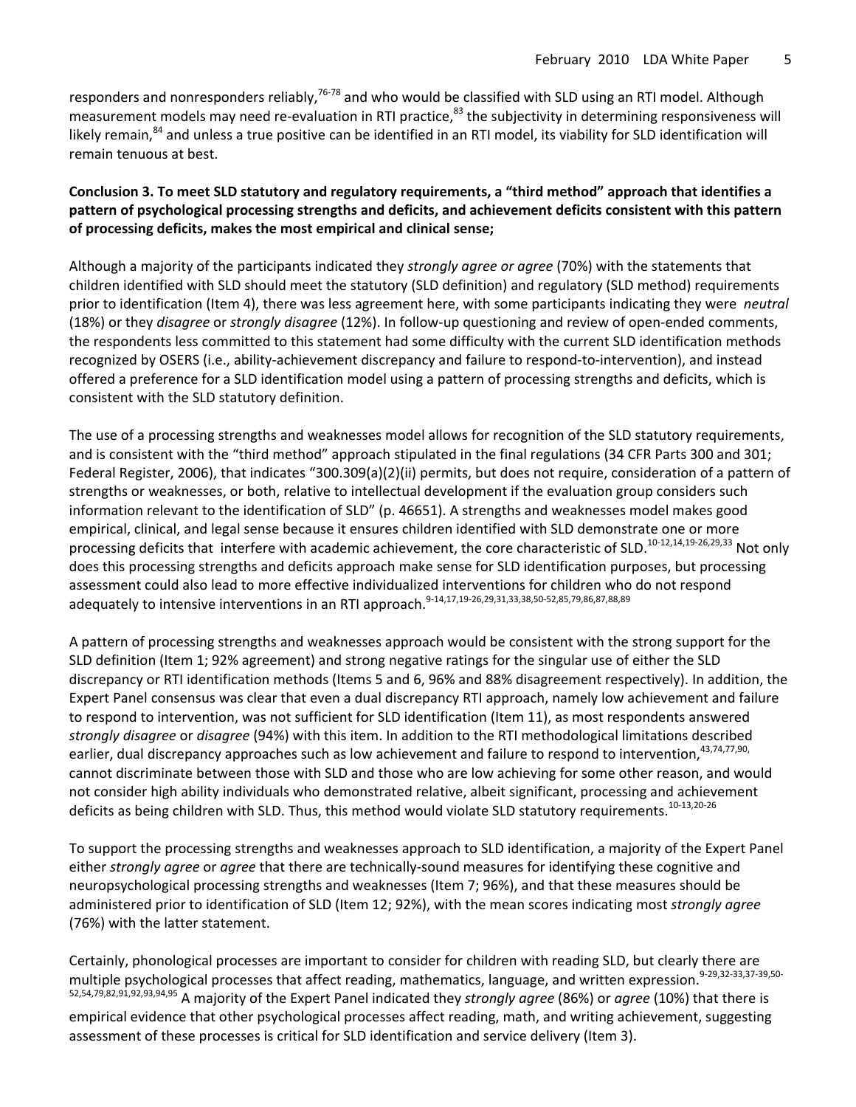responders and nonresponders reliably,<sup>76-78</sup> and who would be classified with SLD using an RTI model. Although measurement models may need re-evaluation in RTI practice,<sup>83</sup> the subjectivity in determining responsiveness will likely remain,<sup>84</sup> and unless a true positive can be identified in an RTI model, its viability for SLD identification will remain tenuous at best.

### **Conclusion 3. To meet SLD statutory and regulatory requirements, a "third method" approach that identifies a pattern of psychological processing strengths and deficits, and achievement deficits consistent with this pattern of processing deficits, makes the most empirical and clinical sense;**

Although a majority of the participants indicated they *strongly agree or agree* (70%) with the statements that children identified with SLD should meet the statutory (SLD definition) and regulatory (SLD method) requirements prior to identification (Item 4), there was less agreement here, with some participants indicating they were *neutral* (18%) or they *disagree* or *strongly disagree* (12%). In follow‐up questioning and review of open‐ended comments, the respondents less committed to this statement had some difficulty with the current SLD identification methods recognized by OSERS (i.e., ability‐achievement discrepancy and failure to respond‐to‐intervention), and instead offered a preference for a SLD identification model using a pattern of processing strengths and deficits, which is consistent with the SLD statutory definition.

The use of a processing strengths and weaknesses model allows for recognition of the SLD statutory requirements, and is consistent with the "third method" approach stipulated in the final regulations (34 CFR Parts 300 and 301; Federal Register, 2006), that indicates "300.309(a)(2)(ii) permits, but does not require, consideration of a pattern of strengths or weaknesses, or both, relative to intellectual development if the evaluation group considers such information relevant to the identification of SLD" (p. 46651). A strengths and weaknesses model makes good empirical, clinical, and legal sense because it ensures children identified with SLD demonstrate one or more processing deficits that interfere with academic achievement, the core characteristic of SLD.<sup>10-12,14,19-26,29,33</sup> Not only does this processing strengths and deficits approach make sense for SLD identification purposes, but processing assessment could also lead to more effective individualized interventions for children who do not respond adequately to intensive interventions in an RTI approach.<sup>9-14,17,19-26,29,31,33,38,50-52,85,79,86,87,88,89</sup>

A pattern of processing strengths and weaknesses approach would be consistent with the strong support for the SLD definition (Item 1; 92% agreement) and strong negative ratings for the singular use of either the SLD discrepancy or RTI identification methods (Items 5 and 6, 96% and 88% disagreement respectively). In addition, the Expert Panel consensus was clear that even a dual discrepancy RTI approach, namely low achievement and failure to respond to intervention, was not sufficient for SLD identification (Item 11), as most respondents answered *strongly disagree* or *disagree* (94%) with this item. In addition to the RTI methodological limitations described earlier, dual discrepancy approaches such as low achievement and failure to respond to intervention.<sup>43,74,77,90,</sup> cannot discriminate between those with SLD and those who are low achieving for some other reason, and would not consider high ability individuals who demonstrated relative, albeit significant, processing and achievement deficits as being children with SLD. Thus, this method would violate SLD statutory requirements.<sup>10-13,20-26</sup>

To support the processing strengths and weaknesses approach to SLD identification, a majority of the Expert Panel either *strongly agree* or *agree* that there are technically‐sound measures for identifying these cognitive and neuropsychological processing strengths and weaknesses (Item 7; 96%), and that these measures should be administered prior to identification of SLD (Item 12; 92%), with the mean scores indicating most *strongly agree* (76%) with the latter statement.

Certainly, phonological processes are important to consider for children with reading SLD, but clearly there are multiple psychological processes that affect reading, mathematics, language, and written expression.<sup>9-29,32-33,37-39,50-</sup> 52,54,79,82,91,92,93,94,95 A majority of the Expert Panel indicated they *strongly agree* (86%) or *agree* (10%) that there is empirical evidence that other psychological processes affect reading, math, and writing achievement, suggesting assessment of these processes is critical for SLD identification and service delivery (Item 3).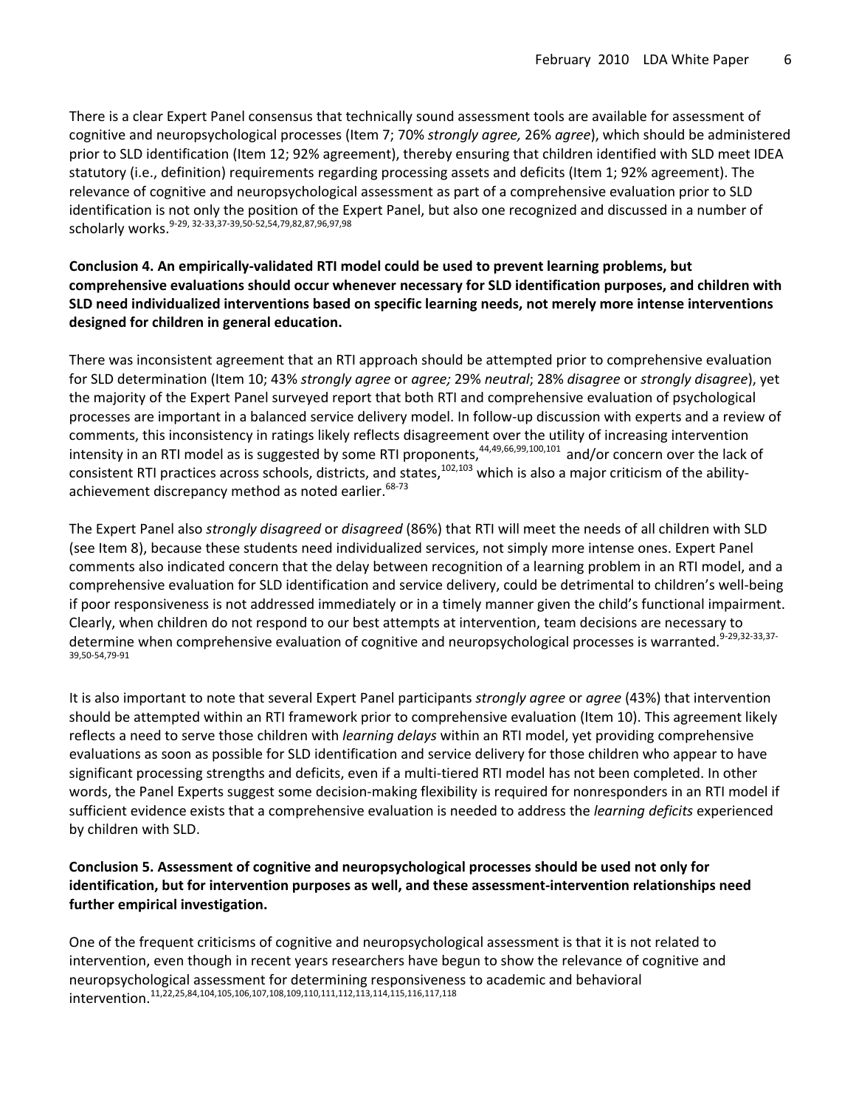There is a clear Expert Panel consensus that technically sound assessment tools are available for assessment of cognitive and neuropsychological processes (Item 7; 70% *strongly agree,* 26% *agree*), which should be administered prior to SLD identification (Item 12; 92% agreement), thereby ensuring that children identified with SLD meet IDEA statutory (i.e., definition) requirements regarding processing assets and deficits (Item 1; 92% agreement). The relevance of cognitive and neuropsychological assessment as part of a comprehensive evaluation prior to SLD identification is not only the position of the Expert Panel, but also one recognized and discussed in a number of scholarly works.<sup>9‐29, 32‐33,37‐39,50‐52,54,79,82,87,96,97,98</sup>

## **Conclusion 4. An empirically‐validated RTI model could be used to prevent learning problems, but comprehensive evaluations should occur whenever necessary for SLD identification purposes, and children with SLD need individualized interventions based on specific learning needs, not merely more intense interventions designed for children in general education.**

There was inconsistent agreement that an RTI approach should be attempted prior to comprehensive evaluation for SLD determination (Item 10; 43% *strongly agree* or *agree;* 29% *neutral*; 28% *disagree* or *strongly disagree*), yet the majority of the Expert Panel surveyed report that both RTI and comprehensive evaluation of psychological processes are important in a balanced service delivery model. In follow‐up discussion with experts and a review of comments, this inconsistency in ratings likely reflects disagreement over the utility of increasing intervention intensity in an RTI model as is suggested by some RTI proponents,<sup>44,49,66,99,100,101</sup> and/or concern over the lack of consistent RTI practices across schools, districts, and states, $102,103$  which is also a major criticism of the abilityachievement discrepancy method as noted earlier. 68-73

The Expert Panel also *strongly disagreed* or *disagreed* (86%) that RTI will meet the needs of all children with SLD (see Item 8), because these students need individualized services, not simply more intense ones. Expert Panel comments also indicated concern that the delay between recognition of a learning problem in an RTI model, and a comprehensive evaluation for SLD identification and service delivery, could be detrimental to children's well-being if poor responsiveness is not addressed immediately or in a timely manner given the child's functional impairment. Clearly, when children do not respond to our best attempts at intervention, team decisions are necessary to determine when comprehensive evaluation of cognitive and neuropsychological processes is warranted.<sup>9-29,32-33,37</sup> 39,50‐54,79‐<sup>91</sup>

It is also important to note that several Expert Panel participants *strongly agree* or *agree* (43%) that intervention should be attempted within an RTI framework prior to comprehensive evaluation (Item 10). This agreement likely reflects a need to serve those children with *learning delays* within an RTI model, yet providing comprehensive evaluations as soon as possible for SLD identification and service delivery for those children who appear to have significant processing strengths and deficits, even if a multi-tiered RTI model has not been completed. In other words, the Panel Experts suggest some decision-making flexibility is required for nonresponders in an RTI model if sufficient evidence exists that a comprehensive evaluation is needed to address the *learning deficits* experienced by children with SLD.

### **Conclusion 5. Assessment of cognitive and neuropsychological processes should be used not only for identification, but for intervention purposes as well, and these assessment‐intervention relationships need further empirical investigation.**

One of the frequent criticisms of cognitive and neuropsychological assessment is that it is not related to intervention, even though in recent years researchers have begun to show the relevance of cognitive and neuropsychological assessment for determining responsiveness to academic and behavioral intervention.11,22,25,84,104,105,106,107,108,109,110,111,112,113,114,115,116,117,118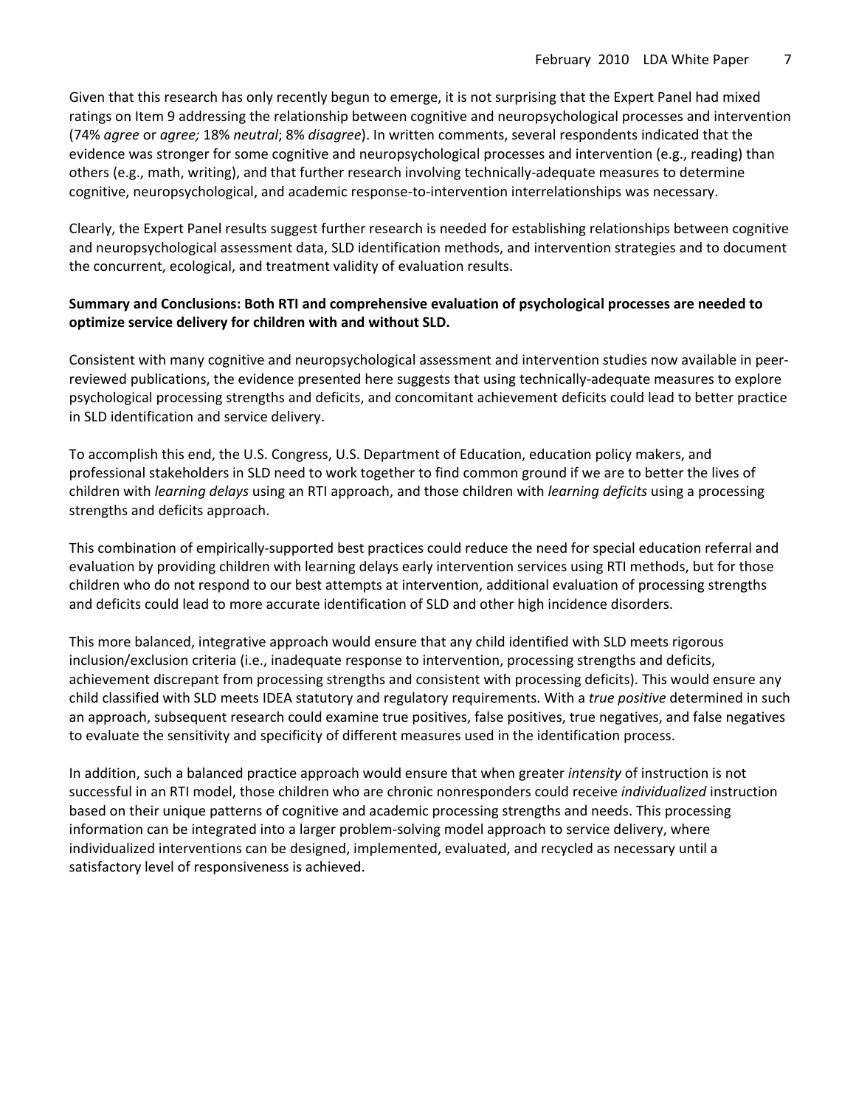Given that this research has only recently begun to emerge, it is not surprising that the Expert Panel had mixed ratings on Item 9 addressing the relationship between cognitive and neuropsychological processes and intervention (74% *agree* or *agree;* 18% *neutral*; 8% *disagree*). In written comments, several respondents indicated that the evidence was stronger for some cognitive and neuropsychological processes and intervention (e.g., reading) than others (e.g., math, writing), and that further research involving technically‐adequate measures to determine cognitive, neuropsychological, and academic response‐to‐intervention interrelationships was necessary.

Clearly, the Expert Panel results suggest further research is needed for establishing relationships between cognitive and neuropsychological assessment data, SLD identification methods, and intervention strategies and to document the concurrent, ecological, and treatment validity of evaluation results.

#### **Summary and Conclusions: Both RTI and comprehensive evaluation of psychological processes are needed to optimize service delivery for children with and without SLD.**

Consistent with many cognitive and neuropsychological assessment and intervention studies now available in peer‐ reviewed publications, the evidence presented here suggests that using technically‐adequate measures to explore psychological processing strengths and deficits, and concomitant achievement deficits could lead to better practice in SLD identification and service delivery.

To accomplish this end, the U.S. Congress, U.S. Department of Education, education policy makers, and professional stakeholders in SLD need to work together to find common ground if we are to better the lives of children with *learning delays* using an RTI approach, and those children with *learning deficits* using a processing strengths and deficits approach.

This combination of empirically‐supported best practices could reduce the need for special education referral and evaluation by providing children with learning delays early intervention services using RTI methods, but for those children who do not respond to our best attempts at intervention, additional evaluation of processing strengths and deficits could lead to more accurate identification of SLD and other high incidence disorders.

This more balanced, integrative approach would ensure that any child identified with SLD meets rigorous inclusion/exclusion criteria (i.e., inadequate response to intervention, processing strengths and deficits, achievement discrepant from processing strengths and consistent with processing deficits). This would ensure any child classified with SLD meets IDEA statutory and regulatory requirements. With a *true positive* determined in such an approach, subsequent research could examine true positives, false positives, true negatives, and false negatives to evaluate the sensitivity and specificity of different measures used in the identification process.

In addition, such a balanced practice approach would ensure that when greater *intensity* of instruction is not successful in an RTI model, those children who are chronic nonresponders could receive *individualized* instruction based on their unique patterns of cognitive and academic processing strengths and needs. This processing information can be integrated into a larger problem-solving model approach to service delivery, where individualized interventions can be designed, implemented, evaluated, and recycled as necessary until a satisfactory level of responsiveness is achieved.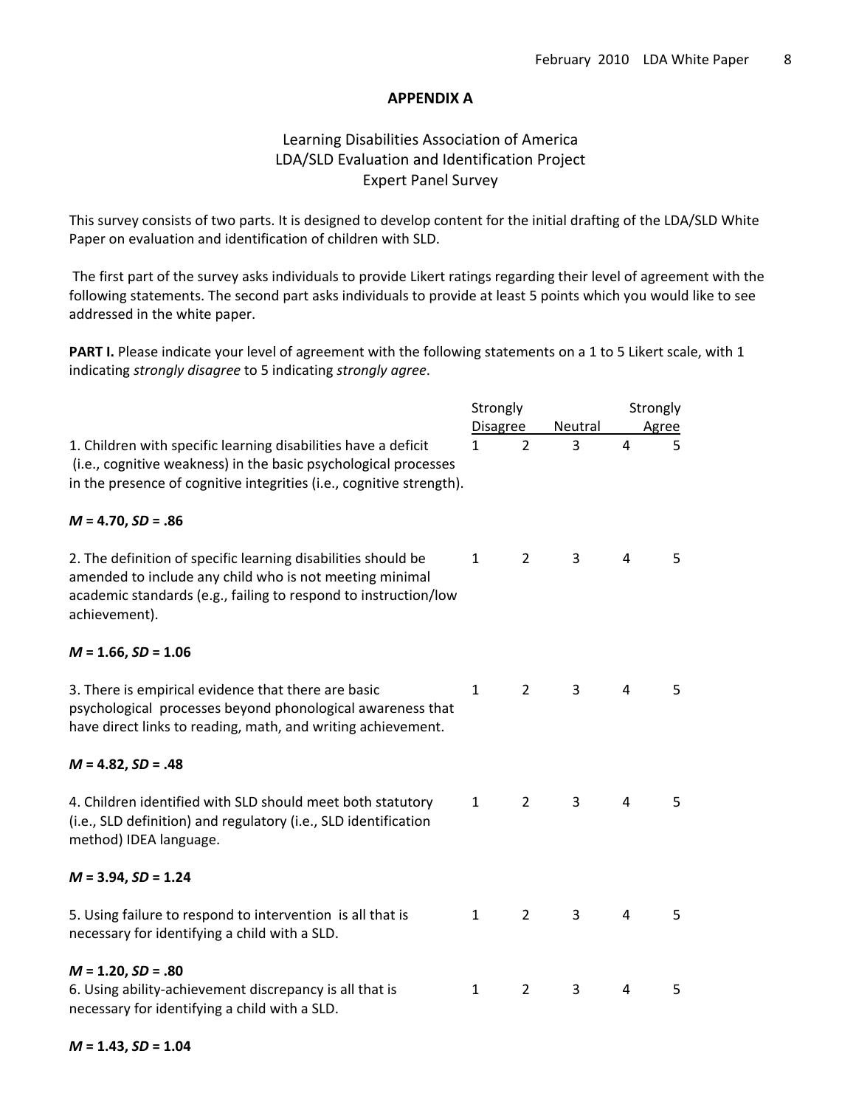#### **APPENDIX A**

## Learning Disabilities Association of America LDA/SLD Evaluation and Identification Project Expert Panel Survey

This survey consists of two parts. It is designed to develop content for the initial drafting of the LDA/SLD White Paper on evaluation and identification of children with SLD.

The first part of the survey asks individuals to provide Likert ratings regarding their level of agreement with the following statements. The second part asks individuals to provide at least 5 points which you would like to see addressed in the white paper.

**PART I.** Please indicate your level of agreement with the following statements on a 1 to 5 Likert scale, with 1 indicating *strongly disagree* to 5 indicating *strongly agree*.

|                                                                                                                                                                                                              | Strongly        |                | Strongly       |                |   |
|--------------------------------------------------------------------------------------------------------------------------------------------------------------------------------------------------------------|-----------------|----------------|----------------|----------------|---|
| 1. Children with specific learning disabilities have a deficit<br>(i.e., cognitive weakness) in the basic psychological processes<br>in the presence of cognitive integrities (i.e., cognitive strength).    | <b>Disagree</b> |                | <b>Neutral</b> | Agree          |   |
|                                                                                                                                                                                                              | $\mathbf{1}$    | $\overline{2}$ | 3              | 4              | 5 |
| $M = 4.70, SD = .86$                                                                                                                                                                                         |                 |                |                |                |   |
| 2. The definition of specific learning disabilities should be<br>amended to include any child who is not meeting minimal<br>academic standards (e.g., failing to respond to instruction/low<br>achievement). | $\mathbf{1}$    | $\overline{2}$ | 3              | 4              | 5 |
| $M = 1.66$ , $SD = 1.06$                                                                                                                                                                                     |                 |                |                |                |   |
| 3. There is empirical evidence that there are basic<br>psychological processes beyond phonological awareness that<br>have direct links to reading, math, and writing achievement.                            | $\mathbf{1}$    | $\overline{2}$ | 3              | $\overline{4}$ | 5 |
| $M = 4.82$ , $SD = .48$                                                                                                                                                                                      |                 |                |                |                |   |
| 4. Children identified with SLD should meet both statutory<br>(i.e., SLD definition) and regulatory (i.e., SLD identification<br>method) IDEA language.                                                      | $\mathbf{1}$    | $\overline{2}$ | $\overline{3}$ | $\overline{4}$ | 5 |
| $M = 3.94$ , $SD = 1.24$                                                                                                                                                                                     |                 |                |                |                |   |
| 5. Using failure to respond to intervention is all that is<br>necessary for identifying a child with a SLD.                                                                                                  | $\mathbf{1}$    | $\overline{2}$ | 3              | 4              | 5 |
| $M = 1.20, SD = .80$                                                                                                                                                                                         |                 |                |                |                |   |
| 6. Using ability-achievement discrepancy is all that is<br>necessary for identifying a child with a SLD.                                                                                                     | $\mathbf{1}$    | $\overline{2}$ | 3              | 4              | 5 |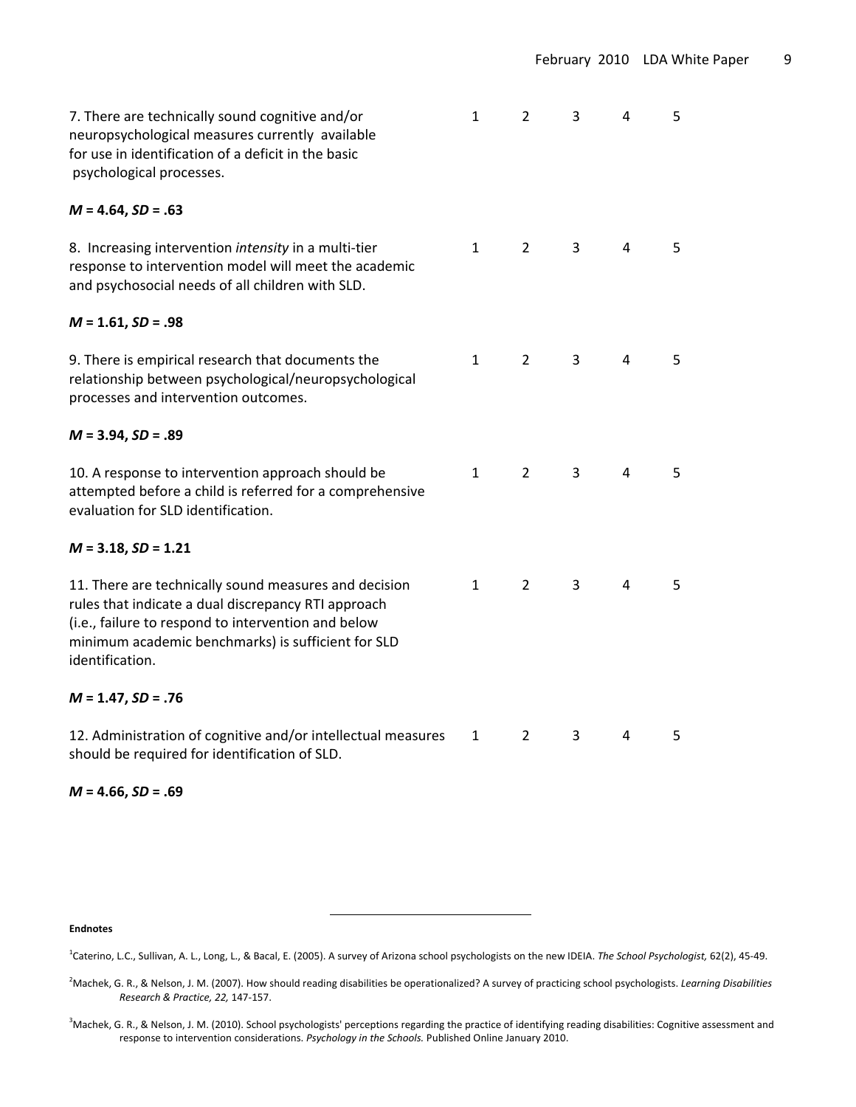| 7. There are technically sound cognitive and/or<br>neuropsychological measures currently available<br>for use in identification of a deficit in the basic<br>psychological processes.                                                        | $\mathbf{1}$ | $\overline{2}$ | 3              | 4              | 5 |
|----------------------------------------------------------------------------------------------------------------------------------------------------------------------------------------------------------------------------------------------|--------------|----------------|----------------|----------------|---|
| $M = 4.64$ , SD = .63                                                                                                                                                                                                                        |              |                |                |                |   |
| 8. Increasing intervention intensity in a multi-tier<br>response to intervention model will meet the academic<br>and psychosocial needs of all children with SLD.                                                                            | $\mathbf{1}$ | $\overline{2}$ | $\mathbf{3}$   | 4              | 5 |
| $M = 1.61, SD = .98$                                                                                                                                                                                                                         |              |                |                |                |   |
| 9. There is empirical research that documents the<br>relationship between psychological/neuropsychological<br>processes and intervention outcomes.                                                                                           | $\mathbf{1}$ | $\overline{2}$ | $\overline{3}$ | 4              | 5 |
| $M = 3.94$ , $SD = .89$                                                                                                                                                                                                                      |              |                |                |                |   |
| 10. A response to intervention approach should be<br>attempted before a child is referred for a comprehensive<br>evaluation for SLD identification.                                                                                          | $\mathbf{1}$ | $\overline{2}$ | $\overline{3}$ | $\overline{4}$ | 5 |
| $M = 3.18$ , $SD = 1.21$                                                                                                                                                                                                                     |              |                |                |                |   |
| 11. There are technically sound measures and decision<br>rules that indicate a dual discrepancy RTI approach<br>(i.e., failure to respond to intervention and below<br>minimum academic benchmarks) is sufficient for SLD<br>identification. | $\mathbf{1}$ | $\overline{2}$ | 3              | $\overline{4}$ | 5 |
| $M = 1.47$ , SD = .76                                                                                                                                                                                                                        |              |                |                |                |   |
| 12. Administration of cognitive and/or intellectual measures<br>should be required for identification of SLD.                                                                                                                                | 1            | $\overline{2}$ | 3              | 4              | 5 |

*M* **= 4.66,** *SD* **= .69**

**Endnotes**

1 Caterino, L.C., Sullivan, A. L., Long, L., & Bacal, E. (2005). A survey of Arizona school psychologists on the new IDEIA. *The School Psychologist,* 62(2), 45‐49.

<sup>2</sup> Machek, G. R., & Nelson, J. M. (2007). How should reading disabilities be operationalized? A survey of practicing school psychologists. *Learning Disabilities Research & Practice, 22,* 147‐157.

<sup>&</sup>lt;sup>3</sup>Machek, G. R., & Nelson, J. M. (2010). School psychologists' perceptions regarding the practice of identifying reading disabilities: Cognitive assessment and response to intervention considerations. *Psychology in the Schools.* Published Online January 2010.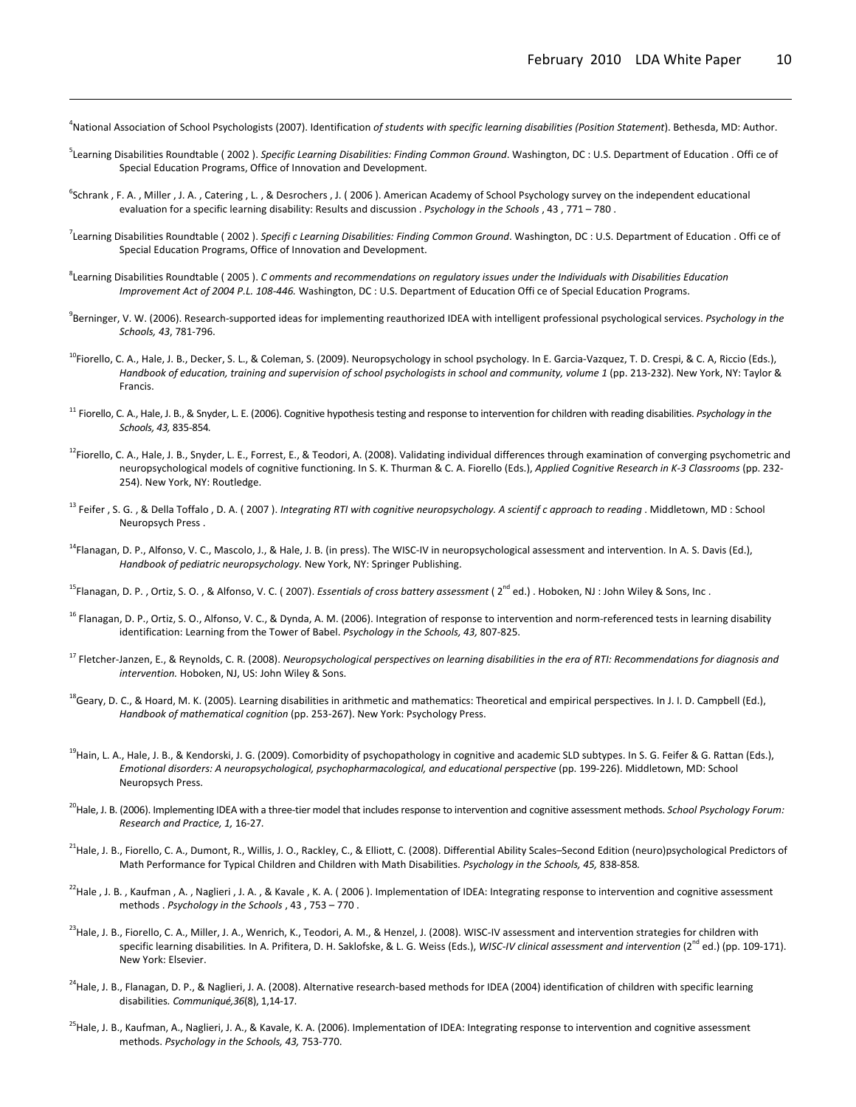4 National Association of School Psychologists (2007). Identification *of students with specific learning disabilities (Position Statement*). Bethesda, MD: Author.

<u> 1989 - Andrea Santa Andrea Andrea Andrea Andrea Andrea Andrea Andrea Andrea Andrea Andrea Andrea Andrea Andr</u>

- 5 Learning Disabilities Roundtable ( 2002 ). *Specific Learning Disabilities: Finding Common Ground*. Washington, DC : U.S. Department of Education . Offi ce of Special Education Programs, Office of Innovation and Development.
- <sup>6</sup>Schrank , F. A. , Miller , J. A. , Catering , L. , & Desrochers , J. (2006). American Academy of School Psychology survey on the independent educational evaluation for a specific learning disability: Results and discussion . *Psychology in the Schools* , 43 , 771 – 780 .
- 7 Learning Disabilities Roundtable ( 2002 ). *Specifi c Learning Disabilities: Finding Common Ground*. Washington, DC : U.S. Department of Education . Offi ce of Special Education Programs, Office of Innovation and Development.
- <sup>8</sup>Learning Disabilities Roundtable ( 2005 ). *C omments and recommendations on regulatory issues under the Individuals with Disabilities Education Improvement Act of 2004 P.L. 108‐446.* Washington, DC : U.S. Department of Education Offi ce of Special Education Programs.
- 9 Berninger, V. W. (2006). Research‐supported ideas for implementing reauthorized IDEA with intelligent professional psychological services. *Psychology in the Schools, 43*, 781‐796.
- <sup>10</sup>Fiorello, C. A., Hale, J. B., Decker, S. L., & Coleman, S. (2009). Neuropsychology in school psychology. In E. Garcia-Vazquez, T. D. Crespi, & C. A, Riccio (Eds.), Handbook of education, training and supervision of school psychologists in school and community, volume 1 (pp. 213-232). New York, NY: Taylor & Francis.
- <sup>11</sup> Fiorello, C. A., Hale, J. B., & Snyder, L. E. (2006). Cognitive hypothesistesting and response to intervention for children with reading disabilities. *Psychology in the Schools, 43,* 835‐854*.*
- $^{12}$ Fiorello, C. A., Hale, J. B., Snyder, L. E., Forrest, E., & Teodori, A. (2008). Validating individual differences through examination of converging psychometric and neuropsychological models of cognitive functioning. In S. K. Thurman & C. A. Fiorello (Eds.), *Applied Cognitive Research in K‐3 Classrooms* (pp. 232‐ 254). New York, NY: Routledge.
- <sup>13</sup> Feifer, S. G., & Della Toffalo, D. A. (2007). Integrating RTI with cognitive neuropsychology. A scientif c approach to reading. Middletown, MD: School Neuropsych Press .
- <sup>14</sup>Flanagan, D. P., Alfonso, V. C., Mascolo, J., & Hale, J. B. (in press). The WISC-IV in neuropsychological assessment and intervention. In A. S. Davis (Ed.), *Handbook of pediatric neuropsychology.* New York, NY: Springer Publishing.
- <sup>15</sup>Flanagan, D. P., Ortiz, S. O., & Alfonso, V. C. (2007). *Essentials of cross battery assessment* (2<sup>nd</sup> ed.). Hoboken, NJ: John Wiley & Sons, Inc.
- <sup>16</sup> Flanagan, D. P., Ortiz, S. O., Alfonso, V. C., & Dynda, A. M. (2006). Integration of response to intervention and norm-referenced tests in learning disability identification: Learning from the Tower of Babel. *Psychology in the Schools, 43,* 807‐825.
- <sup>17</sup> Fletcher-Janzen, E., & Reynolds, C. R. (2008). Neuropsychological perspectives on learning disabilities in the era of RTI: Recommendations for diagnosis and *intervention.* Hoboken, NJ, US: John Wiley & Sons.
- <sup>18</sup>Geary, D. C., & Hoard, M. K. (2005). Learning disabilities in arithmetic and mathematics: Theoretical and empirical perspectives. In J. I. D. Campbell (Ed.), *Handbook of mathematical cognition* (pp. 253‐267). New York: Psychology Press.
- <sup>19</sup>Hain, L. A., Hale, J. B., & Kendorski, J. G. (2009). Comorbidity of psychopathology in cognitive and academic SLD subtypes. In S. G. Feifer & G. Rattan (Eds.), *Emotional disorders: A neuropsychological, psychopharmacological, and educational perspective* (pp. 199‐226). Middletown, MD: School Neuropsych Press.
- 20Hale, J. B. (2006). Implementing IDEA with a three‐tier model that includes response to intervention and cognitive assessment methods. *School Psychology Forum: Research and Practice, 1,* 16‐27*.*
- <sup>21</sup>Hale, J. B., Fiorello, C. A., Dumont, R., Willis, J. O., Rackley, C., & Elliott, C. (2008). Differential Ability Scales–Second Edition (neuro)psychological Predictors of Math Performance for Typical Children and Children with Math Disabilities. *Psychology in the Schools, 45,* 838‐858*.*
- $^{22}$ Hale , J. B., Kaufman , A., Naglieri , J. A., & Kavale , K. A. (2006). Implementation of IDEA: Integrating response to intervention and cognitive assessment methods . *Psychology in the Schools* , 43 , 753 – 770 .
- $^{23}$ Hale, J. B., Fiorello, C. A., Miller, J. A., Wenrich, K., Teodori, A. M., & Henzel, J. (2008). WISC-IV assessment and intervention strategies for children with specific learning disabilities*.* In A. Prifitera, D. H. Saklofske, & L. G. Weiss (Eds.), *WISC‐IV clinical assessment and intervention* (2nd ed.) (pp. 109‐171). New York: Elsevier.
- $^{24}$ Hale, J. B., Flanagan, D. P., & Naglieri, J. A. (2008). Alternative research‐based methods for IDEA (2004) identification of children with specific learning disabilities*. Communiqué,36*(8), 1,14‐17.
- <sup>25</sup>Hale, J. B., Kaufman, A., Naglieri, J. A., & Kavale, K. A. (2006). Implementation of IDEA: Integrating response to intervention and cognitive assessment methods. *Psychology in the Schools, 43,* 753‐770.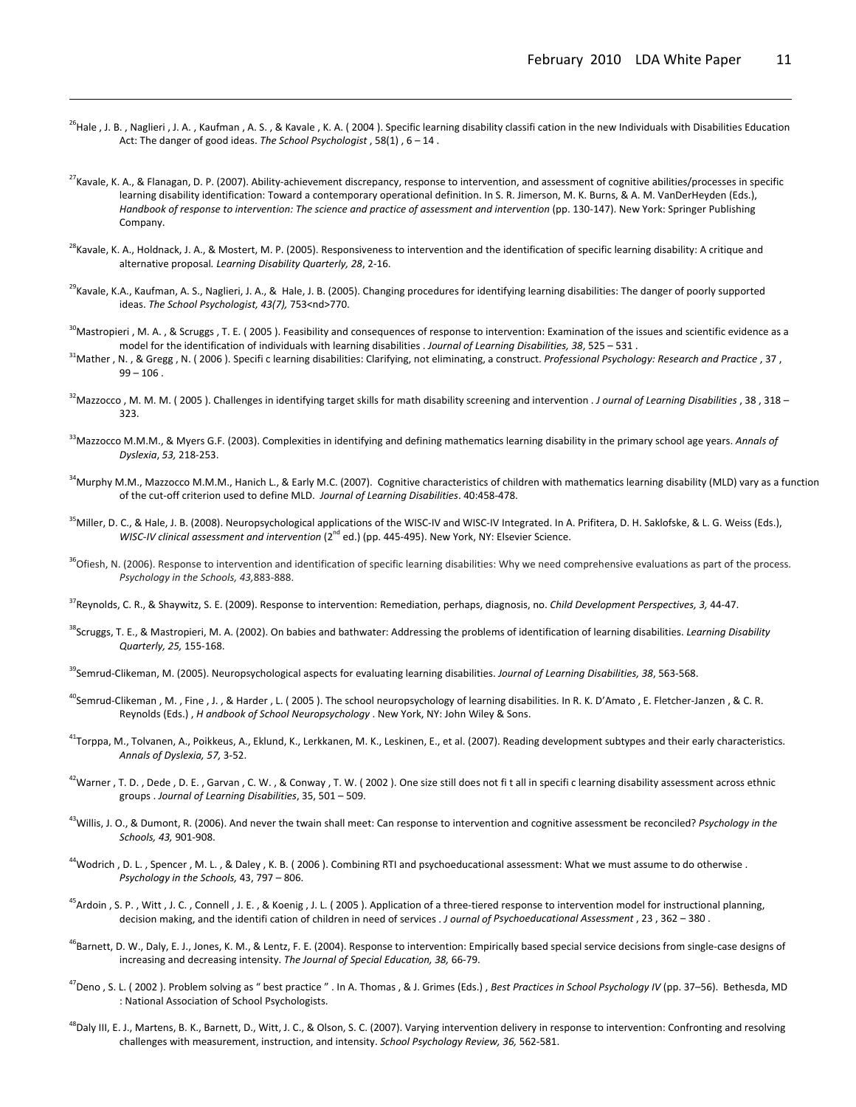<sup>26</sup>Hale , J. B. , Naglieri , J. A. , Kaufman , A. S. , & Kavale , K. A. (2004). Specific learning disability classifi cation in the new Individuals with Disabilities Education Act: The danger of good ideas. *The School Psychologist* , 58(1) , 6 – 14 .

<u> 1989 - Andrea Santa Andrea Andrea Andrea Andrea Andrea Andrea Andrea Andrea Andrea Andrea Andrea Andrea Andr</u>

- $^{27}$ Kavale, K. A., & Flanagan, D. P. (2007). Ability‐achievement discrepancy, response to intervention, and assessment of cognitive abilities/processes in specific learning disability identification: Toward a contemporary operational definition. In S. R. Jimerson, M. K. Burns, & A. M. VanDerHeyden (Eds.), Handbook of response to intervention: The science and practice of assessment and intervention (pp. 130-147). New York: Springer Publishing Company.
- $^{28}$ Kavale, K. A., Holdnack, J. A., & Mostert, M. P. (2005). Responsiveness to intervention and the identification of specific learning disability: A critique and alternative proposal*. Learning Disability Quarterly, 28*, 2‐16.
- <sup>29</sup>Kavale, K.A., Kaufman, A. S., Naglieri, J. A., & Hale, J. B. (2005). Changing procedures for identifying learning disabilities: The danger of poorly supported ideas. *The School Psychologist, 43(7),* 753<nd>770.
- <sup>30</sup>Mastropieri , M. A. , & Scruggs , T. E. (2005). Feasibility and consequences of response to intervention: Examination of the issues and scientific evidence as a model for the identification of individuals with learning disabilities . *Journal of Learning Disabilities, 38*, 525 – 531 .
- 31Mather , N. , & Gregg , N. ( 2006 ). Specifi c learning disabilities: Clarifying, not eliminating, a construct. *Professional Psychology: Research and Practice* , 37 ,  $99 - 106$ .
- 32Mazzocco , M. M. M. ( 2005 ). Challenges in identifying target skills for math disability screening and intervention . *J ournal of Learning Disabilities* , 38 , 318 323.
- 33Mazzocco M.M.M., & Myers G.F. (2003). Complexities in identifying and defining mathematics learning disability in the primary school age years. *Annals of Dyslexia*, *53,* 218‐253.
- <sup>34</sup>Murphy M.M., Mazzocco M.M.M., Hanich L., & Early M.C. (2007). Cognitive characteristics of children with mathematics learning disability (MLD) vary as a function of the cut‐off criterion used to define MLD. *Journal of Learning Disabilities*. 40:458‐478.
- <sup>35</sup>Miller, D. C., & Hale, J. B. (2008). Neuropsychological applications of the WISC-IV and WISC-IV Integrated. In A. Prifitera, D. H. Saklofske, & L. G. Weiss (Eds.), *WISC‐IV clinical assessment and intervention* (2nd ed.) (pp. 445‐495). New York, NY: Elsevier Science.
- <sup>36</sup>Ofiesh, N. (2006). Response to intervention and identification of specific learning disabilities: Why we need comprehensive evaluations as part of the process. *Psychology in the Schools, 43,*883‐888.
- 37Reynolds, C. R., & Shaywitz, S. E. (2009). Response to intervention: Remediation, perhaps, diagnosis, no. *Child Development Perspectives, 3,* 44‐47.
- 38Scruggs, T. E., & Mastropieri, M. A. (2002). On babies and bathwater: Addressing the problems of identification of learning disabilities. *Learning Disability Quarterly, 25,* 155‐168.
- 39Semrud‐Clikeman, M. (2005). Neuropsychological aspects for evaluating learning disabilities. *Journal of Learning Disabilities, 38*, 563‐568.
- <sup>40</sup>Semrud-Clikeman , M. , Fine , J. , & Harder , L. (2005). The school neuropsychology of learning disabilities. In R. K. D'Amato , E. Fletcher-Janzen , & C. R. Reynolds (Eds.) , *H andbook of School Neuropsychology* . New York, NY: John Wiley & Sons.
- <sup>41</sup>Torppa, M., Tolvanen, A., Poikkeus, A., Eklund, K., Lerkkanen, M. K., Leskinen, E., et al. (2007). Reading development subtypes and their early characteristics. *Annals of Dyslexia, 57,* 3‐52.
- <sup>42</sup>Warner , T. D. , Dede , D. E. , Garvan , C. W. , & Conway , T. W. (2002). One size still does not fit all in specific learning disability assessment across ethnic groups . *Journal of Learning Disabilities*, 35, 501 – 509.
- 43Willis, J. O., & Dumont, R. (2006). And never the twain shall meet: Can response to intervention and cognitive assessment be reconciled? *Psychology in the Schools, 43,* 901‐908.
- <sup>44</sup>Wodrich , D. L. , Spencer , M. L. , & Daley , K. B. (2006). Combining RTI and psychoeducational assessment: What we must assume to do otherwise . *Psychology in the Schools,* 43, 797 – 806.
- <sup>45</sup>Ardoin , S. P., Witt , J. C., Connell , J. E., & Koenig , J. L. (2005). Application of a three-tiered response to intervention model for instructional planning, decision making, and the identifi cation of children in need of services . *J ournal of Psychoeducational Assessment* , 23 , 362 – 380 .
- <sup>46</sup>Barnett, D. W., Daly, E. J., Jones, K. M., & Lentz, F. E. (2004). Response to intervention: Empirically based special service decisions from single-case designs of increasing and decreasing intensity. *The Journal of Special Education, 38,* 66‐79.
- 47Deno , S. L. ( 2002 ). Problem solving as " best practice " . In A. Thomas , & J. Grimes (Eds.) , *Best Practices in School Psychology IV* (pp. 37–56). Bethesda, MD : National Association of School Psychologists.
- <sup>48</sup>Daly III, E. J., Martens, B. K., Barnett, D., Witt, J. C., & Olson, S. C. (2007). Varying intervention delivery in response to intervention: Confronting and resolving challenges with measurement, instruction, and intensity. *School Psychology Review, 36,* 562‐581.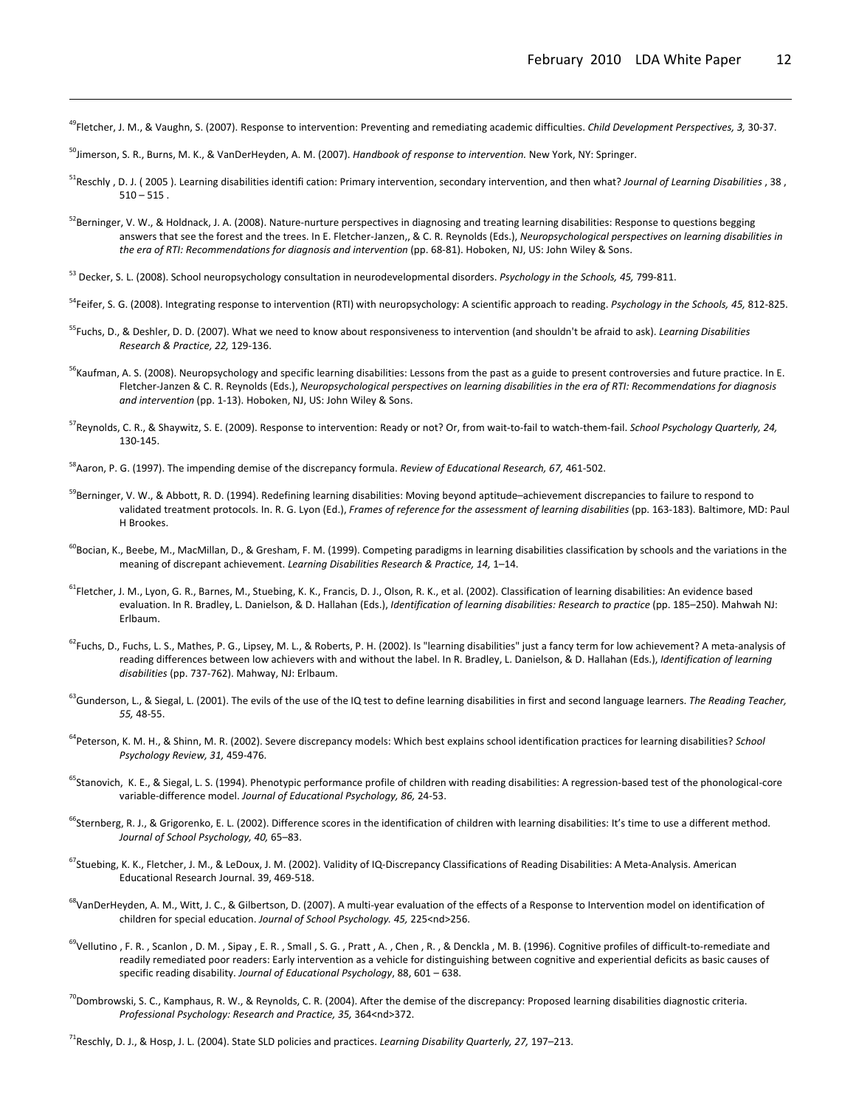49Fletcher, J. M., & Vaughn, S. (2007). Response to intervention: Preventing and remediating academic difficulties. *Child Development Perspectives, 3,* 30‐37.

<u> 1989 - Andrea Santa Andrea Andrea Andrea Andrea Andrea Andrea Andrea Andrea Andrea Andrea Andrea Andrea Andr</u>

50Jimerson, S. R., Burns, M. K., & VanDerHeyden, A. M. (2007). *Handbook of response to intervention.* New York, NY: Springer.

- 51Reschly , D. J. ( 2005 ). Learning disabilities identifi cation: Primary intervention, secondary intervention, and then what? *Journal of Learning Disabilities* , 38 ,  $510 - 515$ .
- 52Berninger, V. W., & Holdnack, J. A. (2008). Nature-nurture perspectives in diagnosing and treating learning disabilities: Response to questions begging answers that see the forest and the trees. In E. Fletcher‐Janzen,, & C. R. Reynolds (Eds.), *Neuropsychological perspectives on learning disabilities in the era of RTI: Recommendations for diagnosis and intervention* (pp. 68‐81). Hoboken, NJ, US: John Wiley & Sons.
- <sup>53</sup> Decker, S. L. (2008). School neuropsychology consultation in neurodevelopmental disorders. *Psychology in the Schools, 45,* 799‐811.
- 54Feifer, S. G. (2008). Integrating response to intervention (RTI) with neuropsychology: A scientific approach to reading. *Psychology in the Schools, 45,* 812‐825.
- 55Fuchs, D., & Deshler, D. D. (2007). What we need to know about responsiveness to intervention (and shouldn't be afraid to ask). *Learning Disabilities Research & Practice, 22,* 129‐136.
- <sup>56</sup>Kaufman, A. S. (2008). Neuropsychology and specific learning disabilities: Lessons from the past as a guide to present controversies and future practice. In E. Fletcher-Janzen & C. R. Reynolds (Eds.), Neuropsychological perspectives on learning disabilities in the era of RTI: Recommendations for diagnosis *and intervention* (pp. 1‐13). Hoboken, NJ, US: John Wiley & Sons.
- 57Reynolds, C. R., & Shaywitz, S. E. (2009). Response to intervention: Ready or not? Or, from wait‐to‐fail to watch‐them‐fail. *School Psychology Quarterly, 24,* 130‐145.
- 58Aaron, P. G. (1997). The impending demise of the discrepancy formula. *Review of Educational Research, 67,* 461‐502.
- <sup>59</sup>Berninger, V. W., & Abbott, R. D. (1994). Redefining learning disabilities: Moving beyond aptitude–achievement discrepancies to failure to respond to validated treatment protocols. In. R. G. Lyon (Ed.), *Frames of reference for the assessment of learning disabilities* (pp. 163‐183). Baltimore, MD: Paul H Brookes.
- $^{60}$ Bocian, K., Beebe, M., MacMillan, D., & Gresham, F. M. (1999). Competing paradigms in learning disabilities classification by schools and the variations in the meaning of discrepant achievement. *Learning Disabilities Research & Practice, 14,* 1–14.
- <sup>61</sup>Fletcher, J. M., Lyon, G. R., Barnes, M., Stuebing, K. K., Francis, D. J., Olson, R. K., et al. (2002). Classification of learning disabilities: An evidence based evaluation. In R. Bradley, L. Danielson, & D. Hallahan (Eds.), *Identification of learning disabilities: Research to practice* (pp. 185–250). Mahwah NJ: Erlbaum.
- <sup>62</sup>Fuchs, D., Fuchs, L. S., Mathes, P. G., Lipsey, M. L., & Roberts, P. H. (2002). Is "learning disabilities" just a fancy term for low achievement? A meta-analysis of reading differences between low achievers with and without the label. In R. Bradley, L. Danielson, & D. Hallahan (Eds.), *Identification of learning disabilities* (pp. 737‐762). Mahway, NJ: Erlbaum.
- 63Gunderson, L., & Siegal, L. (2001). The evils of the use of the IQ test to define learning disabilities in first and second language learners. *The Reading Teacher, 55,* 48‐55.
- 64Peterson, K. M. H., & Shinn, M. R. (2002). Severe discrepancy models: Which best explains school identification practices for learning disabilities? *School Psychology Review, 31,* 459‐476.
- <sup>65</sup>Stanovich, K. E., & Siegal, L. S. (1994). Phenotypic performance profile of children with reading disabilities: A regression-based test of the phonological-core variable‐difference model. *Journal of Educational Psychology, 86,* 24‐53.
- <sup>66</sup>Sternberg, R. J., & Grigorenko, E. L. (2002). Difference scores in the identification of children with learning disabilities: It's time to use a different method. *Journal of School Psychology, 40,* 65–83.
- <sup>67</sup>Stuebing, K. K., Fletcher, J. M., & LeDoux, J. M. (2002). Validity of IQ-Discrepancy Classifications of Reading Disabilities: A Meta-Analysis. American Educational Research Journal. 39, 469‐518.
- <sup>68</sup>VanDerHeyden, A. M., Witt, J. C., & Gilbertson, D. (2007). A multi-year evaluation of the effects of a Response to Intervention model on identification of children for special education. *Journal of School Psychology. 45,* 225<nd>256.
- <sup>69</sup>Vellutino , F. R. , Scanlon , D. M. , Sipay , E. R. , Small , S. G. , Pratt , A. , Chen , R. , & Denckla , M. B. (1996). Cognitive profiles of difficult-to-remediate and readily remediated poor readers: Early intervention as a vehicle for distinguishing between cognitive and experiential deficits as basic causes of specific reading disability. *Journal of Educational Psychology*, 88, 601 – 638.
- $^{70}$ Dombrowski, S. C., Kamphaus, R. W., & Reynolds, C. R. (2004). After the demise of the discrepancy: Proposed learning disabilities diagnostic criteria. *Professional Psychology: Research and Practice, 35,* 364<nd>372.

71Reschly, D. J., & Hosp, J. L. (2004). State SLD policies and practices. *Learning Disability Quarterly, 27,* 197–213.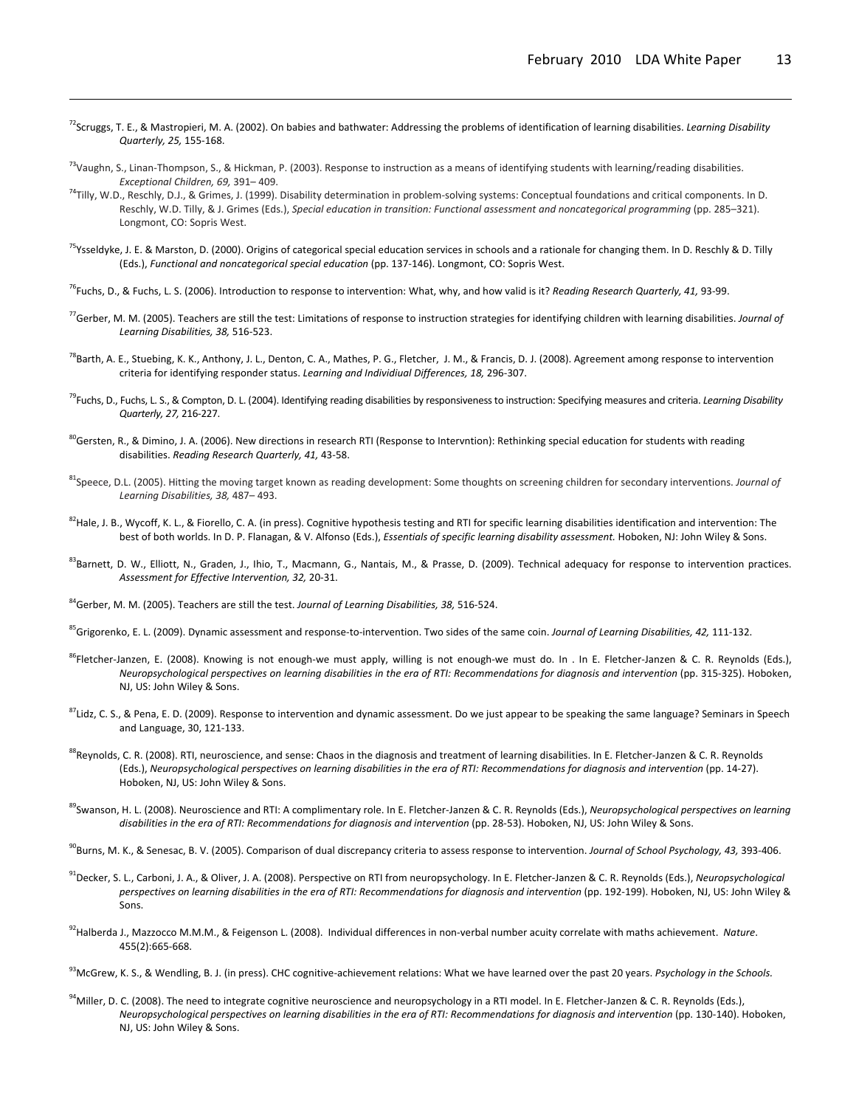72Scruggs, T. E., & Mastropieri, M. A. (2002). On babies and bathwater: Addressing the problems of identification of learning disabilities. *Learning Disability Quarterly, 25,* 155‐168.

<u> 1989 - Andrea Santa Andrea Andrea Andrea Andrea Andrea Andrea Andrea Andrea Andrea Andrea Andrea Andrea Andr</u>

- <sup>73</sup>Vaughn, S., Linan-Thompson, S., & Hickman, P. (2003). Response to instruction as a means of identifying students with learning/reading disabilities. *Exceptional Children, 69,* 391– 409.
- <sup>74</sup>Tilly, W.D., Reschly, D.J., & Grimes, J. (1999). Disability determination in problem-solving systems: Conceptual foundations and critical components. In D. Reschly, W.D. Tilly, & J. Grimes (Eds.), *Special education in transition: Functional assessment and noncategorical programming* (pp. 285–321). Longmont, CO: Sopris West.
- <sup>75</sup>Ysseldyke, J. E. & Marston, D. (2000). Origins of categorical special education services in schools and a rationale for changing them. In D. Reschly & D. Tilly (Eds.), *Functional and noncategorical special education* (pp. 137‐146). Longmont, CO: Sopris West.
- 76Fuchs, D., & Fuchs, L. S. (2006). Introduction to response to intervention: What, why, and how valid is it? *Reading Research Quarterly, 41,* 93‐99.
- 77Gerber, M. M. (2005). Teachers are still the test: Limitations of response to instruction strategies for identifying children with learning disabilities. *Journal of Learning Disabilities, 38,* 516‐523.
- <sup>78</sup>Barth, A. E., Stuebing, K. K., Anthony, J. L., Denton, C. A., Mathes, P. G., Fletcher, J. M., & Francis, D. J. (2008). Agreement among response to intervention criteria for identifying responder status. *Learning and Individiual Differences, 18,* 296‐307.
- 79Fuchs, D., Fuchs, L. S., & Compton, D. L. (2004). Identifying reading disabilities by responsivenessto instruction: Specifying measures and criteria. *Learning Disability Quarterly, 27,* 216‐227.
- <sup>80</sup>Gersten, R., & Dimino, J. A. (2006). New directions in research RTI (Response to Intervntion): Rethinking special education for students with reading disabilities. *Reading Research Quarterly, 41,* 43‐58.
- 81Speece, D.L. (2005). Hitting the moving target known as reading development: Some thoughts on screening children for secondary interventions. *Journal of Learning Disabilities, 38,* 487– 493.
- <sup>82</sup>Hale, J. B., Wycoff, K. L., & Fiorello, C. A. (in press). Cognitive hypothesis testing and RTI for specific learning disabilities identification and intervention: The best of both worlds. In D. P. Flanagan, & V. Alfonso (Eds.), *Essentials of specific learning disability assessment.* Hoboken, NJ: John Wiley & Sons.
- <sup>83</sup>Barnett, D. W., Elliott, N., Graden, J., Ihio, T., Macmann, G., Nantais, M., & Prasse, D. (2009). Technical adequacy for response to intervention practices. *Assessment for Effective Intervention, 32,* 20‐31.
- 84Gerber, M. M. (2005). Teachers are still the test. *Journal of Learning Disabilities, 38,* 516‐524.
- 85Grigorenko, E. L. (2009). Dynamic assessment and response‐to‐intervention. Two sides of the same coin. *Journal of Learning Disabilities, 42,* 111‐132.
- 86Fletcher‐Janzen, E. (2008). Knowing is not enough‐we must apply, willing is not enough‐we must do. In . In E. Fletcher‐Janzen & C. R. Reynolds (Eds.), Neuropsychological perspectives on learning disabilities in the era of RTI: Recommendations for diagnosis and intervention (pp. 315-325). Hoboken, NJ, US: John Wiley & Sons.
- <sup>87</sup>Lidz, C. S., & Pena, E. D. (2009). Response to intervention and dynamic assessment. Do we just appear to be speaking the same language? Seminars in Speech and Language, 30, 121‐133.
- 88Reynolds, C. R. (2008). RTI, neuroscience, and sense: Chaos in the diagnosis and treatment of learning disabilities. In E. Fletcher-Janzen & C. R. Reynolds (Eds.), Neuropsychological perspectives on learning disabilities in the era of RTI: Recommendations for diagnosis and intervention (pp. 14-27). Hoboken, NJ, US: John Wiley & Sons.
- 89Swanson, H. L. (2008). Neuroscience and RTI: A complimentary role. In E. Fletcher‐Janzen & C. R. Reynolds (Eds.), *Neuropsychological perspectives on learning disabilities in the era of RTI: Recommendations for diagnosis and intervention* (pp. 28‐53). Hoboken, NJ, US: John Wiley & Sons.
- 90Burns, M. K., & Senesac, B. V. (2005). Comparison of dual discrepancy criteria to assess response to intervention. *Journal of School Psychology, 43,* 393‐406.
- 91Decker, S. L., Carboni, J. A., & Oliver, J. A. (2008). Perspective on RTI from neuropsychology. In E. Fletcher‐Janzen & C. R. Reynolds (Eds.), *Neuropsychological* perspectives on learning disabilities in the era of RTI: Recommendations for diagnosis and intervention (pp. 192-199). Hoboken, NJ, US: John Wiley & Sons.
- 92Halberda J., Mazzocco M.M.M., & Feigenson L. (2008). Individual differences in non‐verbal number acuity correlate with maths achievement. *Nature*. 455(2):665‐668.
- 93McGrew, K. S., & Wendling, B. J. (in press). CHC cognitive‐achievement relations: What we have learned over the past 20 years. *Psychology in the Schools.*
- <sup>94</sup>Miller, D. C. (2008). The need to integrate cognitive neuroscience and neuropsychology in a RTI model. In E. Fletcher-Janzen & C. R. Reynolds (Eds.), Neuropsychological perspectives on learning disabilities in the era of RTI: Recommendations for diagnosis and intervention (pp. 130-140). Hoboken, NJ, US: John Wiley & Sons.